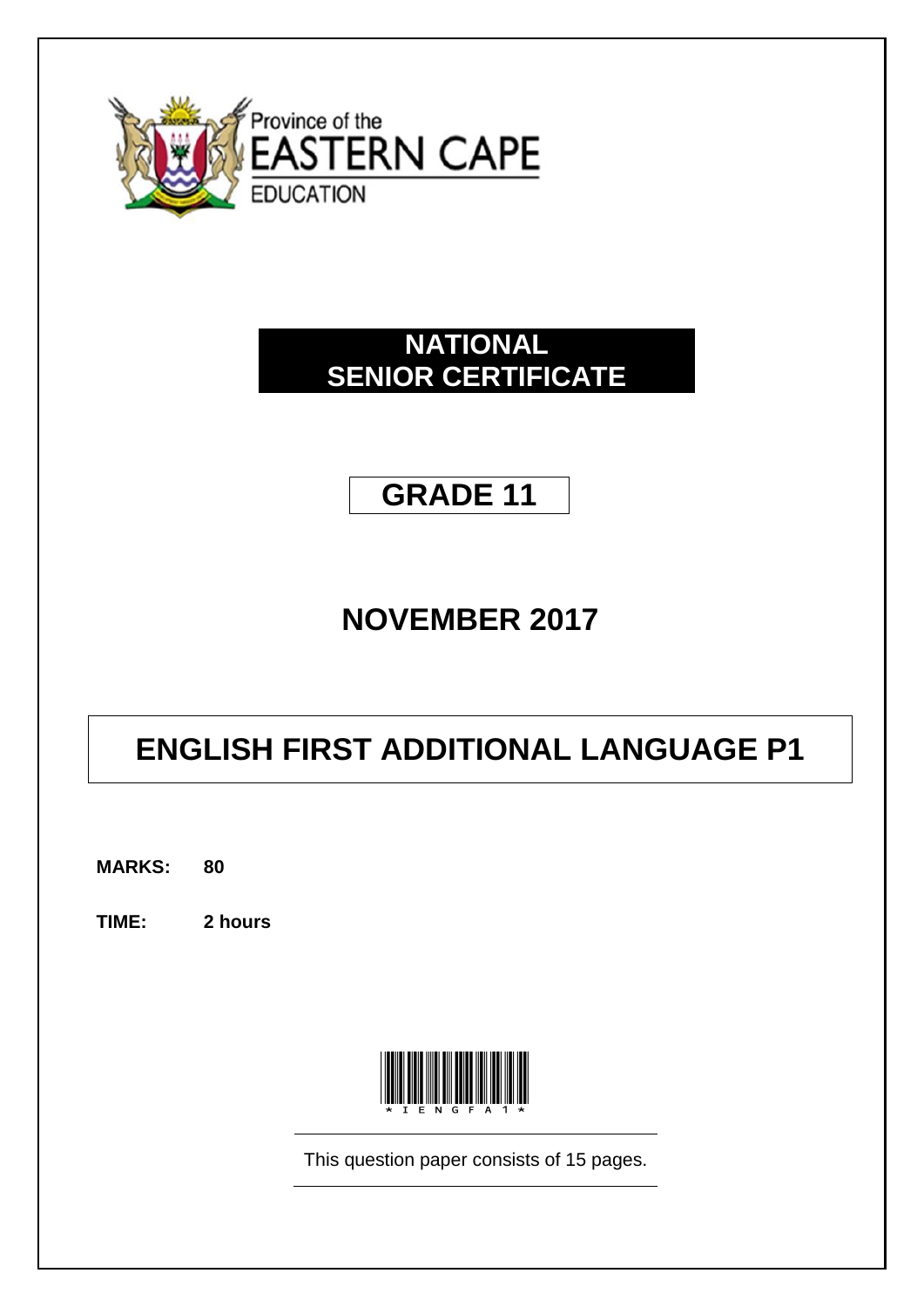

# **NATIONAL SENIOR CERTIFICATE**

# **GRADE 11**

# **NOVEMBER 2017**

# **ENGLISH FIRST ADDITIONAL LANGUAGE P1**

**MARKS: 80**

**TIME: 2 hours**



This question paper consists of 15 pages.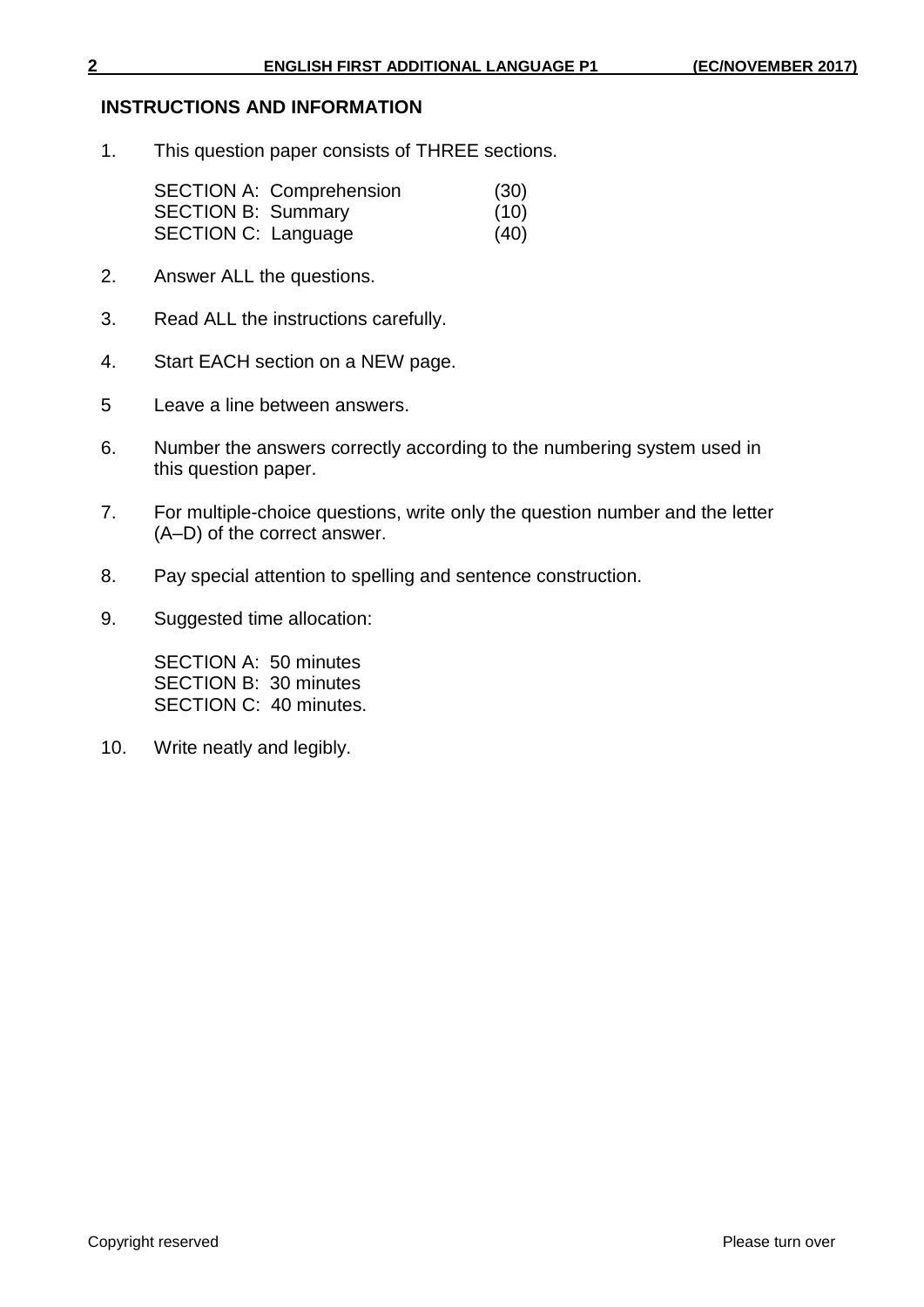#### **INSTRUCTIONS AND INFORMATION**

1. This question paper consists of THREE sections.

|                            | <b>SECTION A: Comprehension</b> | (30) |
|----------------------------|---------------------------------|------|
| <b>SECTION B: Summary</b>  |                                 | (10) |
| <b>SECTION C: Language</b> |                                 | (40) |

- 2. Answer ALL the questions.
- 3. Read ALL the instructions carefully.
- 4. Start EACH section on a NEW page.
- 5 Leave a line between answers.
- 6. Number the answers correctly according to the numbering system used in this question paper.
- 7. For multiple-choice questions, write only the question number and the letter (A–D) of the correct answer.
- 8. Pay special attention to spelling and sentence construction.
- 9. Suggested time allocation:

SECTION A: 50 minutes SECTION B: 30 minutes SECTION C: 40 minutes.

10. Write neatly and legibly.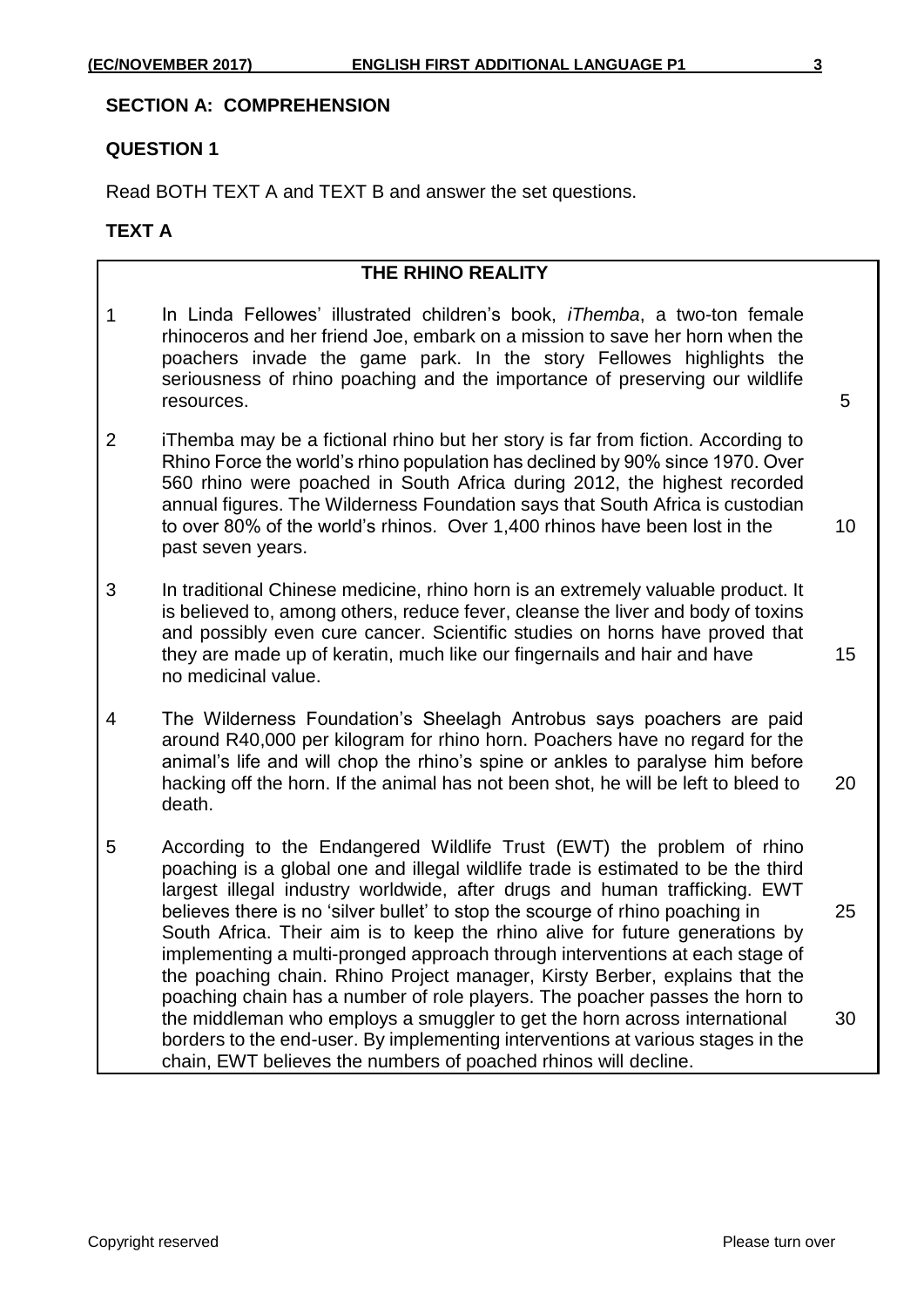#### **SECTION A: COMPREHENSION**

#### **QUESTION 1**

Read BOTH TEXT A and TEXT B and answer the set questions.

#### **TEXT A**

#### **THE RHINO REALITY**

- 1 In Linda Fellowes' illustrated children's book, *iThemba*, a two-ton female rhinoceros and her friend Joe, embark on a mission to save her horn when the poachers invade the game park. In the story Fellowes highlights the seriousness of rhino poaching and the importance of preserving our wildlife resources. 5
- 2 iThemba may be a fictional rhino but her story is far from fiction. According to Rhino Force the world's rhino population has declined by 90% since 1970. Over 560 rhino were poached in South Africa during 2012, the highest recorded annual figures. The Wilderness Foundation says that South Africa is custodian to over 80% of the world's rhinos. Over 1,400 rhinos have been lost in the 10 past seven years.
- 3 In traditional Chinese medicine, rhino horn is an extremely valuable product. It is believed to, among others, reduce fever, cleanse the liver and body of toxins and possibly even cure cancer. Scientific studies on horns have proved that they are made up of keratin, much like our fingernails and hair and have 15 no medicinal value.
- 4 The Wilderness Foundation's Sheelagh Antrobus says poachers are paid around R40,000 per kilogram for rhino horn. Poachers have no regard for the animal's life and will chop the rhino's spine or ankles to paralyse him before hacking off the horn. If the animal has not been shot, he will be left to bleed to 20 death.
- 5 According to the Endangered Wildlife Trust (EWT) the problem of rhino poaching is a global one and illegal wildlife trade is estimated to be the third largest illegal industry worldwide, after drugs and human trafficking. EWT believes there is no 'silver bullet' to stop the scourge of rhino poaching in 25 South Africa. Their aim is to keep the rhino alive for future generations by implementing a multi-pronged approach through interventions at each stage of the poaching chain. Rhino Project manager, Kirsty Berber, explains that the poaching chain has a number of role players. The poacher passes the horn to the middleman who employs a smuggler to get the horn across international 30 borders to the end-user. By implementing interventions at various stages in the chain, EWT believes the numbers of poached rhinos will decline.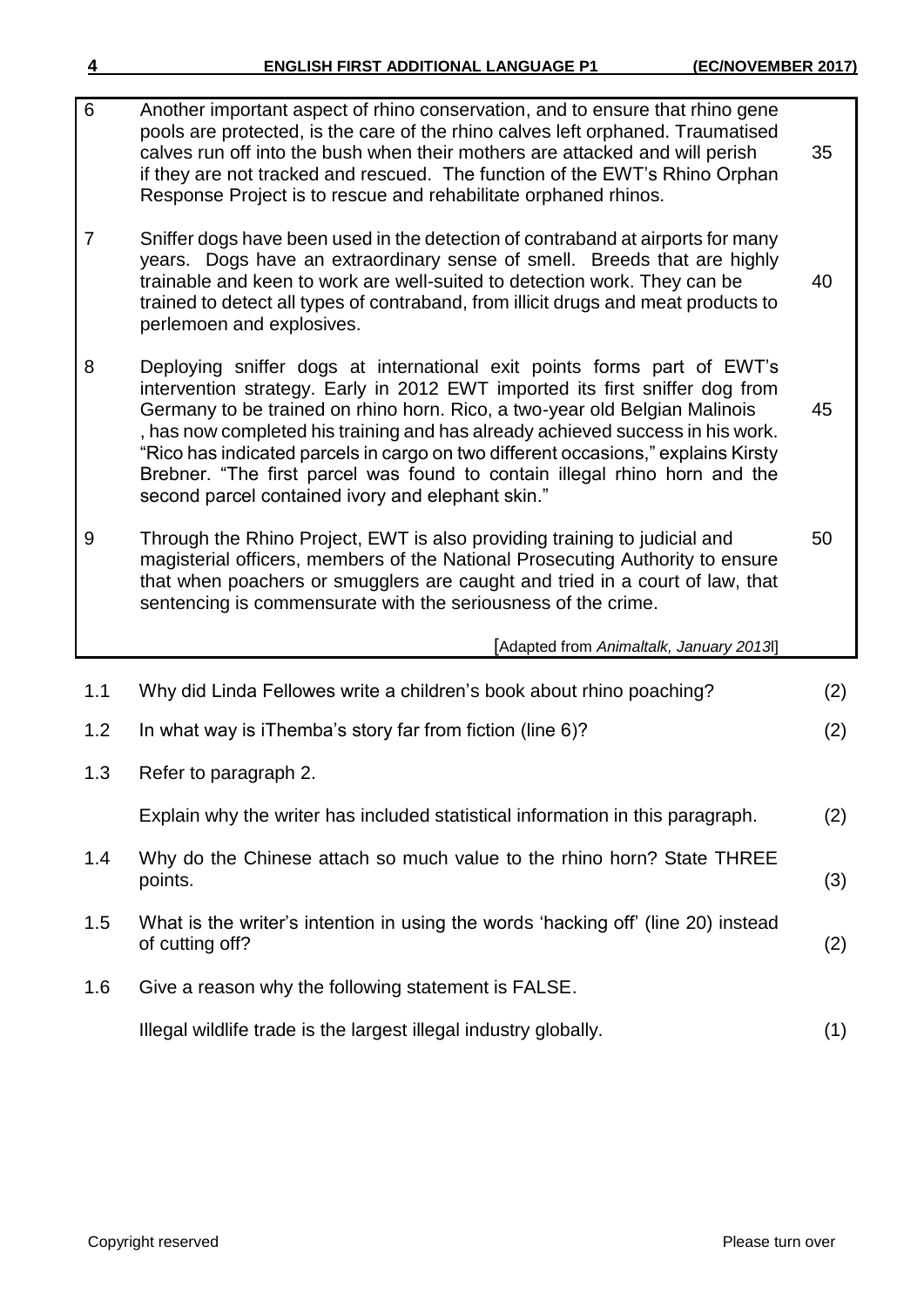| 6   | Another important aspect of rhino conservation, and to ensure that rhino gene<br>pools are protected, is the care of the rhino calves left orphaned. Traumatised<br>calves run off into the bush when their mothers are attacked and will perish<br>if they are not tracked and rescued. The function of the EWT's Rhino Orphan<br>Response Project is to rescue and rehabilitate orphaned rhinos.                                                                                                                                              | 35  |
|-----|-------------------------------------------------------------------------------------------------------------------------------------------------------------------------------------------------------------------------------------------------------------------------------------------------------------------------------------------------------------------------------------------------------------------------------------------------------------------------------------------------------------------------------------------------|-----|
| 7   | Sniffer dogs have been used in the detection of contraband at airports for many<br>years. Dogs have an extraordinary sense of smell. Breeds that are highly<br>trainable and keen to work are well-suited to detection work. They can be<br>trained to detect all types of contraband, from illicit drugs and meat products to<br>perlemoen and explosives.                                                                                                                                                                                     | 40  |
| 8   | Deploying sniffer dogs at international exit points forms part of EWT's<br>intervention strategy. Early in 2012 EWT imported its first sniffer dog from<br>Germany to be trained on rhino horn. Rico, a two-year old Belgian Malinois<br>, has now completed his training and has already achieved success in his work.<br>"Rico has indicated parcels in cargo on two different occasions," explains Kirsty<br>Brebner. "The first parcel was found to contain illegal rhino horn and the<br>second parcel contained ivory and elephant skin." | 45  |
| 9   | Through the Rhino Project, EWT is also providing training to judicial and<br>magisterial officers, members of the National Prosecuting Authority to ensure<br>that when poachers or smugglers are caught and tried in a court of law, that<br>sentencing is commensurate with the seriousness of the crime.                                                                                                                                                                                                                                     | 50  |
|     | [Adapted from Animaltalk, January 2013]                                                                                                                                                                                                                                                                                                                                                                                                                                                                                                         |     |
| 1.1 | Why did Linda Fellowes write a children's book about rhino poaching?                                                                                                                                                                                                                                                                                                                                                                                                                                                                            | (2) |
| 1.2 | In what way is iThemba's story far from fiction (line 6)?                                                                                                                                                                                                                                                                                                                                                                                                                                                                                       | (2) |
| 1.3 | Refer to paragraph 2.                                                                                                                                                                                                                                                                                                                                                                                                                                                                                                                           |     |
|     | Explain why the writer has included statistical information in this paragraph.                                                                                                                                                                                                                                                                                                                                                                                                                                                                  | (2) |
| 1.4 | Why do the Chinese attach so much value to the rhino horn? State THREE<br>points.                                                                                                                                                                                                                                                                                                                                                                                                                                                               | (3) |
| 1.5 | What is the writer's intention in using the words 'hacking off' (line 20) instead<br>of cutting off?                                                                                                                                                                                                                                                                                                                                                                                                                                            | (2) |
| 1.6 | Give a reason why the following statement is FALSE.                                                                                                                                                                                                                                                                                                                                                                                                                                                                                             |     |
|     | Illegal wildlife trade is the largest illegal industry globally.                                                                                                                                                                                                                                                                                                                                                                                                                                                                                | (1) |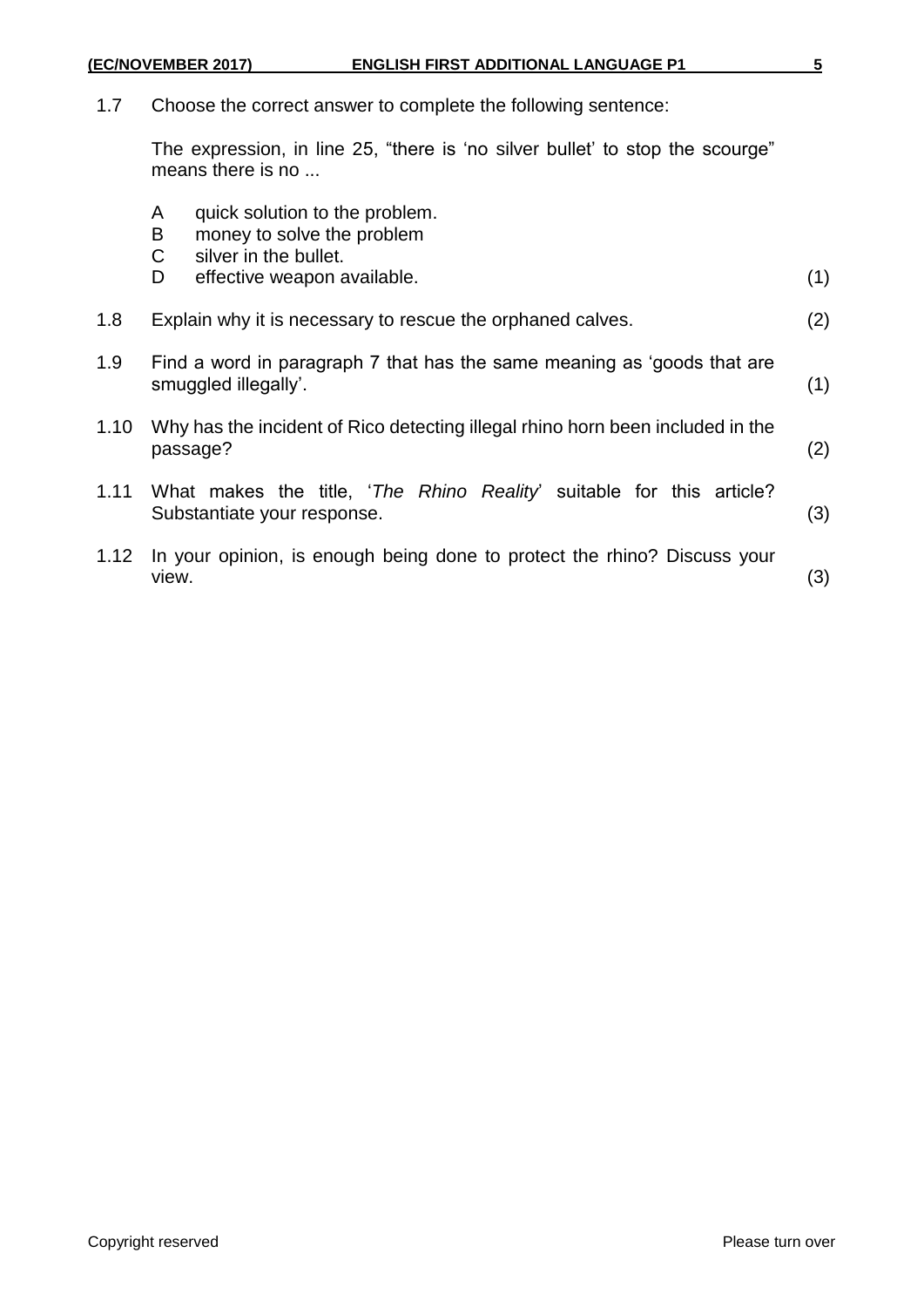1.7 Choose the correct answer to complete the following sentence:

The expression, in line 25, "there is 'no silver bullet' to stop the scourge" means there is no ...

- A quick solution to the problem.
- B money to solve the problem<br>C silver in the bullet.
- silver in the bullet.
- D effective weapon available. (1)
- 1.8 Explain why it is necessary to rescue the orphaned calves. (2)
- 1.9 Find a word in paragraph 7 that has the same meaning as 'goods that are smuggled illegally'. (1)
- 1.10 Why has the incident of Rico detecting illegal rhino horn been included in the passage? (2)
- 1.11 What makes the title, '*The Rhino Reality*' suitable for this article? Substantiate your response. (3)
- 1.12 In your opinion, is enough being done to protect the rhino? Discuss your view. (3)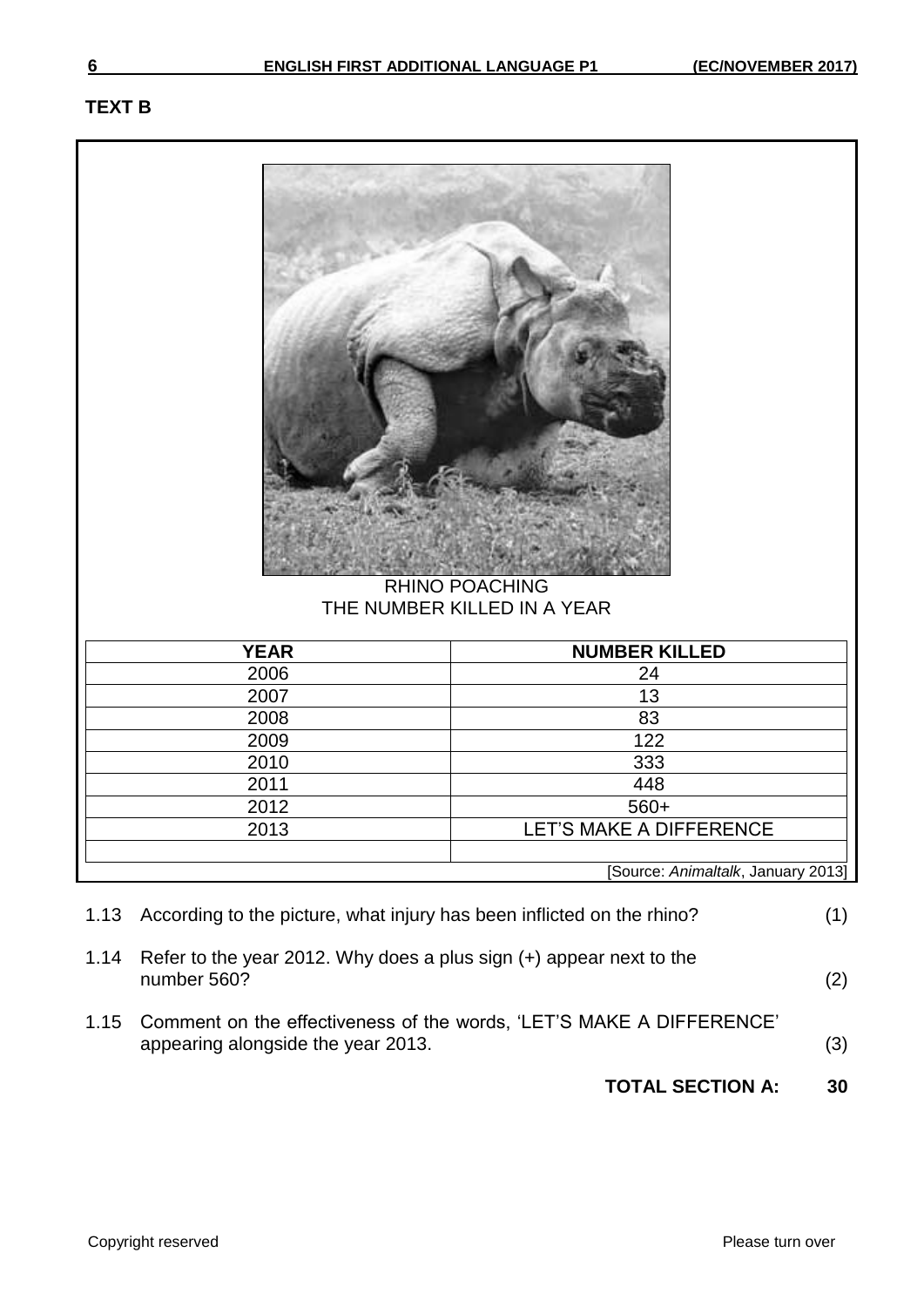# **TEXT B**

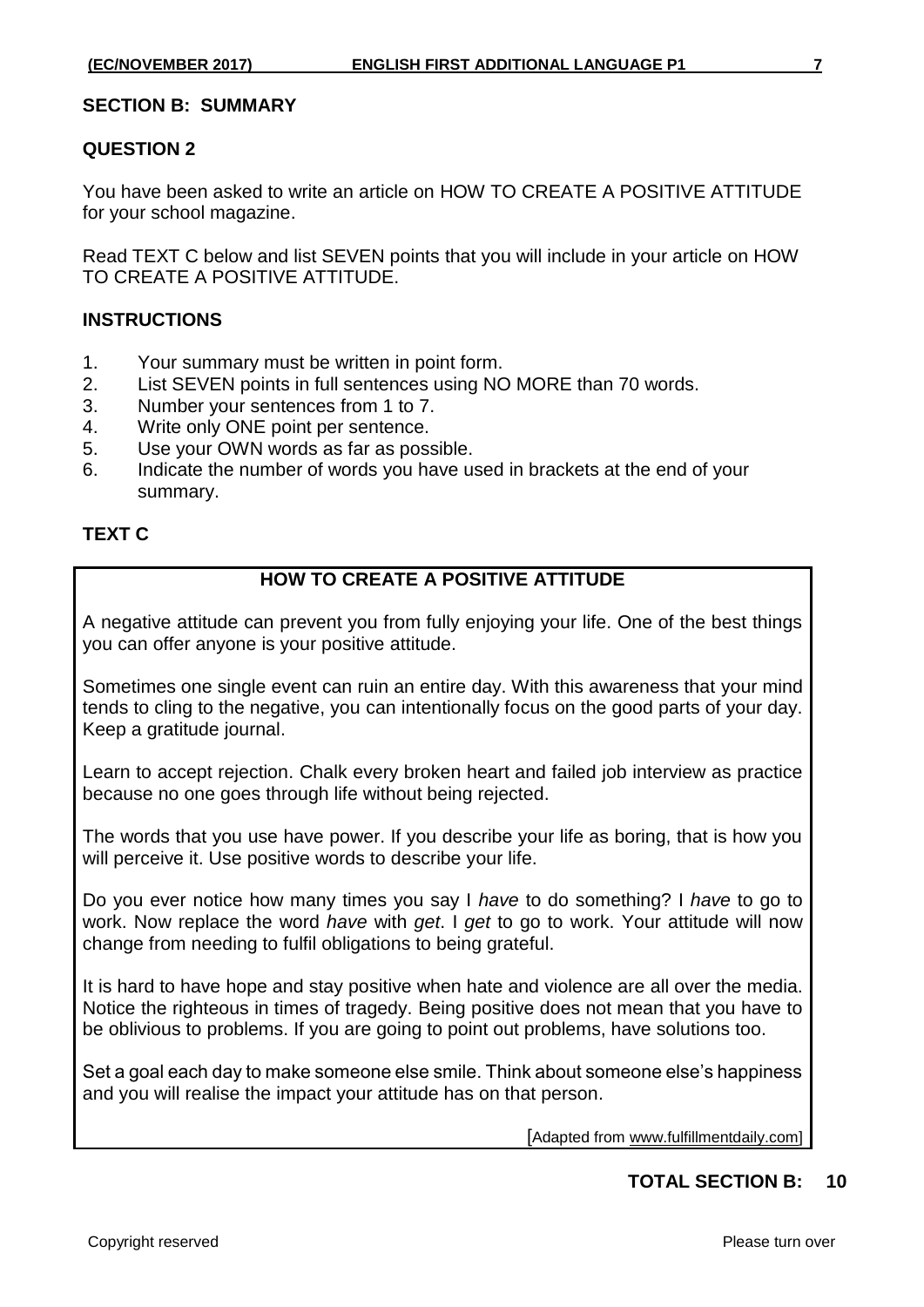### **SECTION B: SUMMARY**

### **QUESTION 2**

You have been asked to write an article on HOW TO CREATE A POSITIVE ATTITUDE for your school magazine.

Read TEXT C below and list SEVEN points that you will include in your article on HOW TO CREATE A POSITIVE ATTITUDE.

# **INSTRUCTIONS**

- 1. Your summary must be written in point form.
- 2. List SEVEN points in full sentences using NO MORE than 70 words.
- 3. Number your sentences from 1 to 7.
- 4. Write only ONE point per sentence.
- 5. Use your OWN words as far as possible.
- 6. Indicate the number of words you have used in brackets at the end of your summary.

# **TEXT C**

# **HOW TO CREATE A POSITIVE ATTITUDE**

A negative attitude can prevent you from fully enjoying your life. One of the best things you can offer anyone is your positive attitude.

Sometimes one single event can ruin an entire day. With this awareness that your mind tends to cling to the negative, you can intentionally focus on the good parts of your day. Keep a gratitude journal.

Learn to accept rejection. Chalk every broken heart and failed job interview as practice because no one goes through life without being rejected.

The words that you use have power. If you describe your life as boring, that is how you will perceive it. Use positive words to describe your life.

Do you ever notice how many times you say I *have* to do something? I *have* to go to work. Now replace the word *have* with *get*. I *get* to go to work. Your attitude will now change from needing to fulfil obligations to being grateful.

It is hard to have hope and stay positive when hate and violence are all over the media. Notice the righteous in times of tragedy. Being positive does not mean that you have to be oblivious to problems. If you are going to point out problems, have solutions too.

Set a goal each day to make someone else smile. Think about someone else's happiness and you will realise the impact your attitude has on that person.

[Adapted from www.fulfillmentdaily.com]

# **TOTAL SECTION B: 10**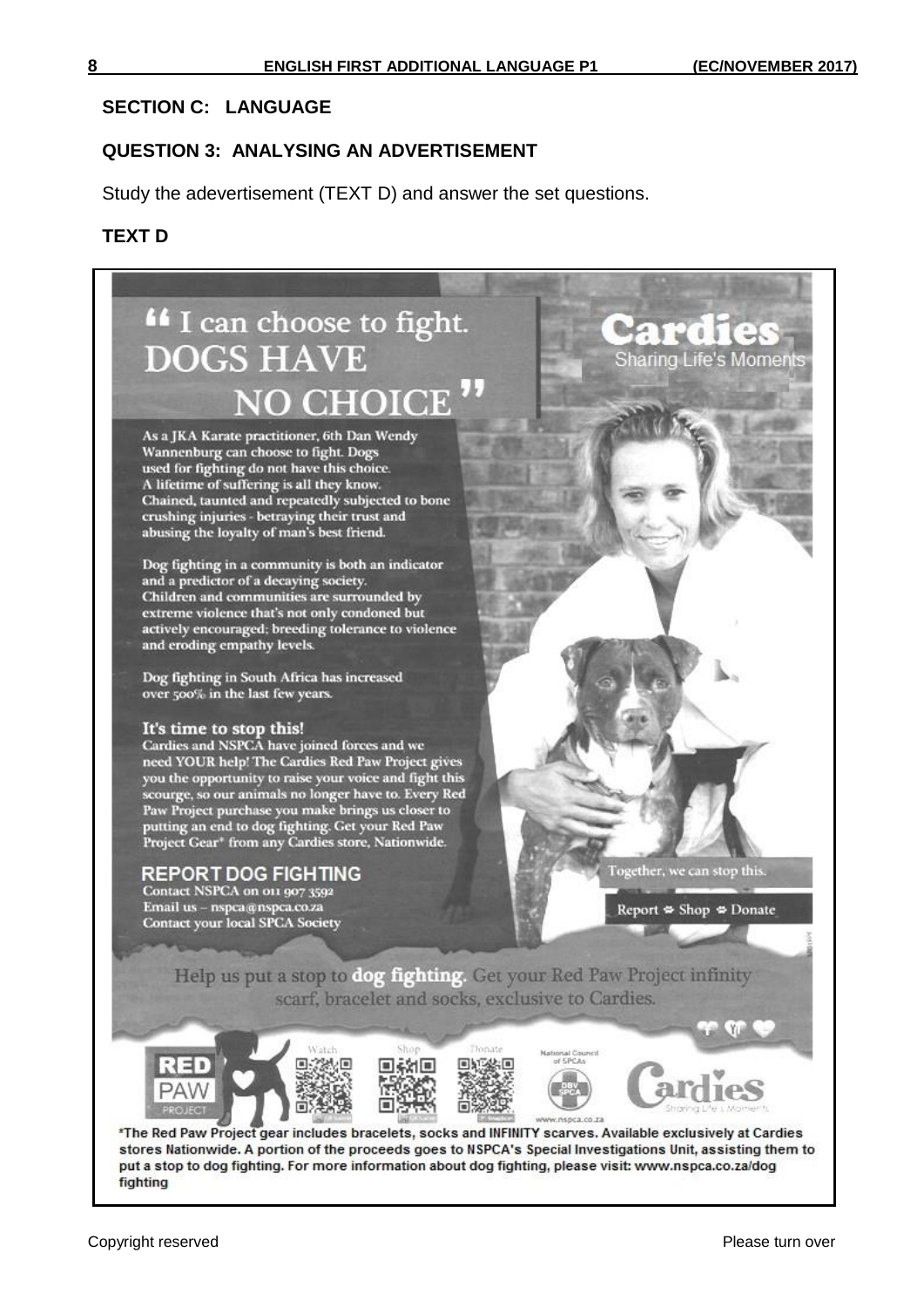# **SECTION C: LANGUAGE**

#### **QUESTION 3: ANALYSING AN ADVERTISEMENT**

Study the adevertisement (TEXT D) and answer the set questions.

#### **TEXT D**

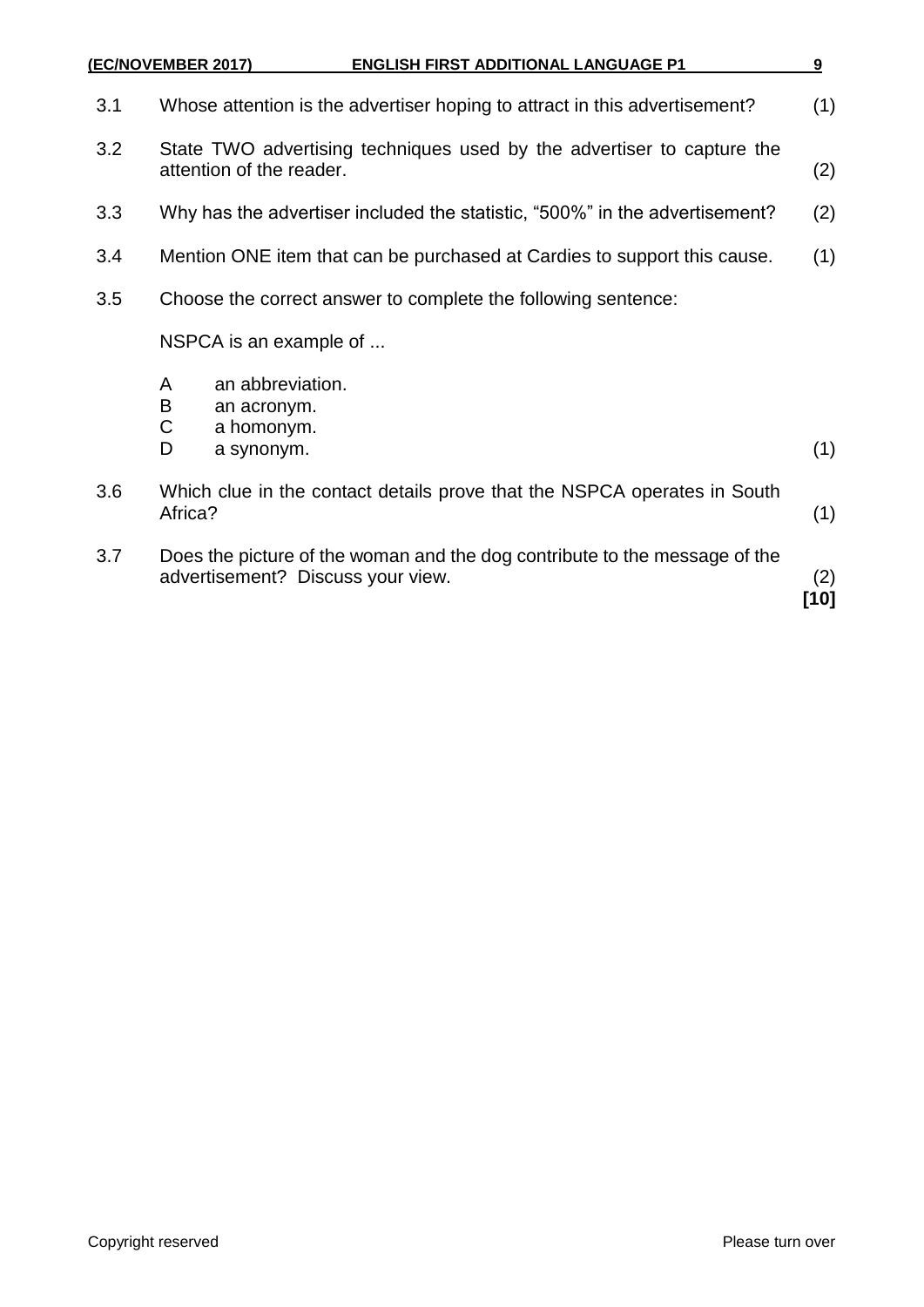|     | (EC/NOVEMBER 2017)<br><b>ENGLISH FIRST ADDITIONAL LANGUAGE P1</b>                                               | 9   |  |  |
|-----|-----------------------------------------------------------------------------------------------------------------|-----|--|--|
| 3.1 | Whose attention is the advertiser hoping to attract in this advertisement?                                      | (1) |  |  |
| 3.2 | State TWO advertising techniques used by the advertiser to capture the<br>attention of the reader.              |     |  |  |
| 3.3 | Why has the advertiser included the statistic, "500%" in the advertisement?                                     |     |  |  |
| 3.4 | Mention ONE item that can be purchased at Cardies to support this cause.                                        |     |  |  |
| 3.5 | Choose the correct answer to complete the following sentence:                                                   |     |  |  |
|     | NSPCA is an example of                                                                                          |     |  |  |
|     | an abbreviation.<br>A<br>B<br>an acronym.<br>C<br>a homonym.<br>D<br>a synonym.                                 | (1) |  |  |
| 3.6 | Which clue in the contact details prove that the NSPCA operates in South<br>Africa?                             |     |  |  |
| 3.7 | Does the picture of the woman and the dog contribute to the message of the<br>advertisement? Discuss your view. |     |  |  |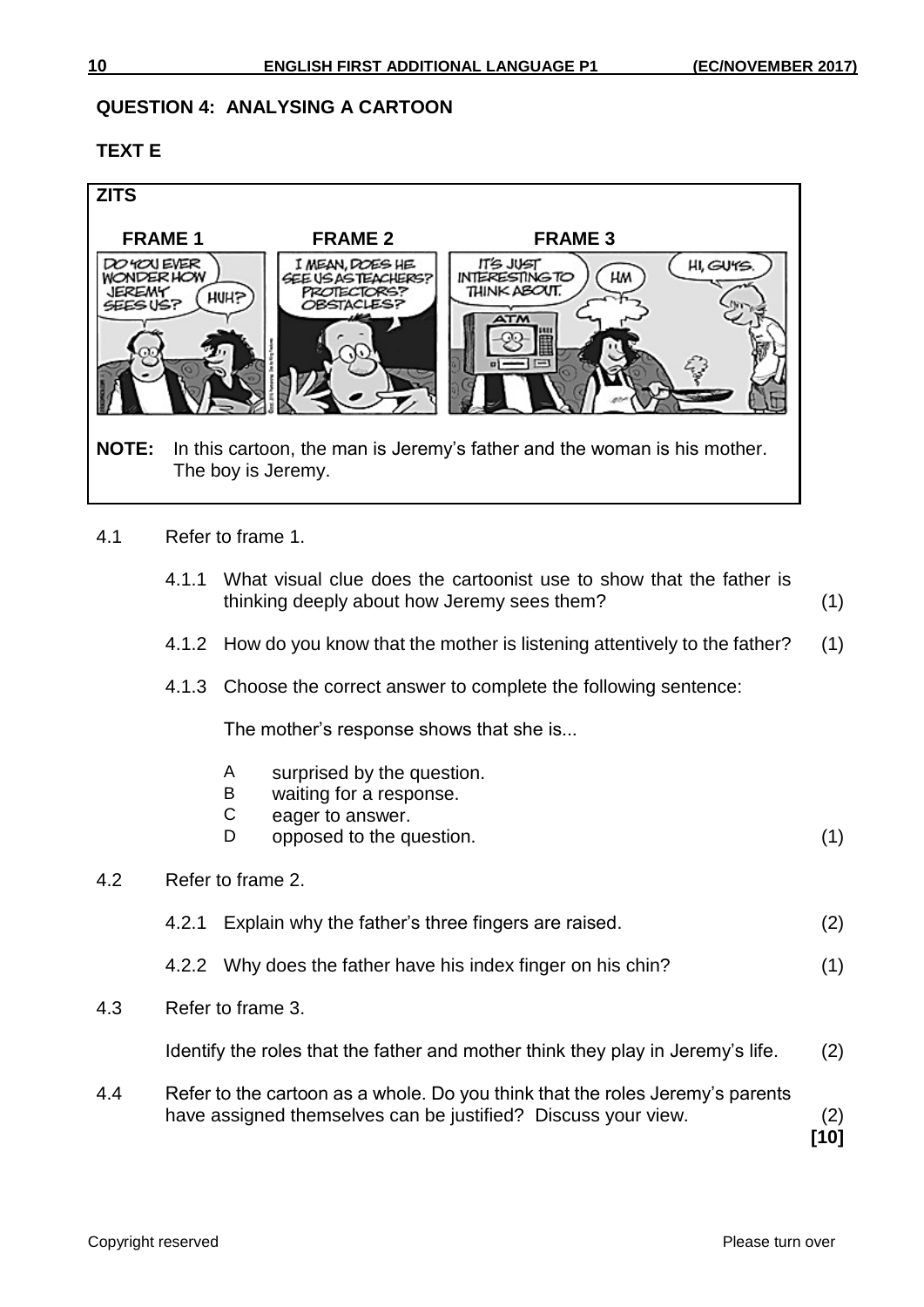# **QUESTION 4: ANALYSING A CARTOON**

# **TEXT E**



- 4.1 Refer to frame 1.
	- 4.1.1 What visual clue does the cartoonist use to show that the father is thinking deeply about how Jeremy sees them? (1)
	- 4.1.2 How do you know that the mother is listening attentively to the father? (1)
	- 4.1.3 Choose the correct answer to complete the following sentence:

The mother's response shows that she is...

- A surprised by the question.
- B waiting for a response.
- C eager to answer.
- D opposed to the question. (1)
- 4.2 Refer to frame 2.
	- 4.2.1 Explain why the father's three fingers are raised. (2)
	- 4.2.2 Why does the father have his index finger on his chin? (1)
- 4.3 Refer to frame 3.

Identify the roles that the father and mother think they play in Jeremy's life. (2)

4.4 Refer to the cartoon as a whole. Do you think that the roles Jeremy's parents have assigned themselves can be justified? Discuss your view. (2)

**[10]**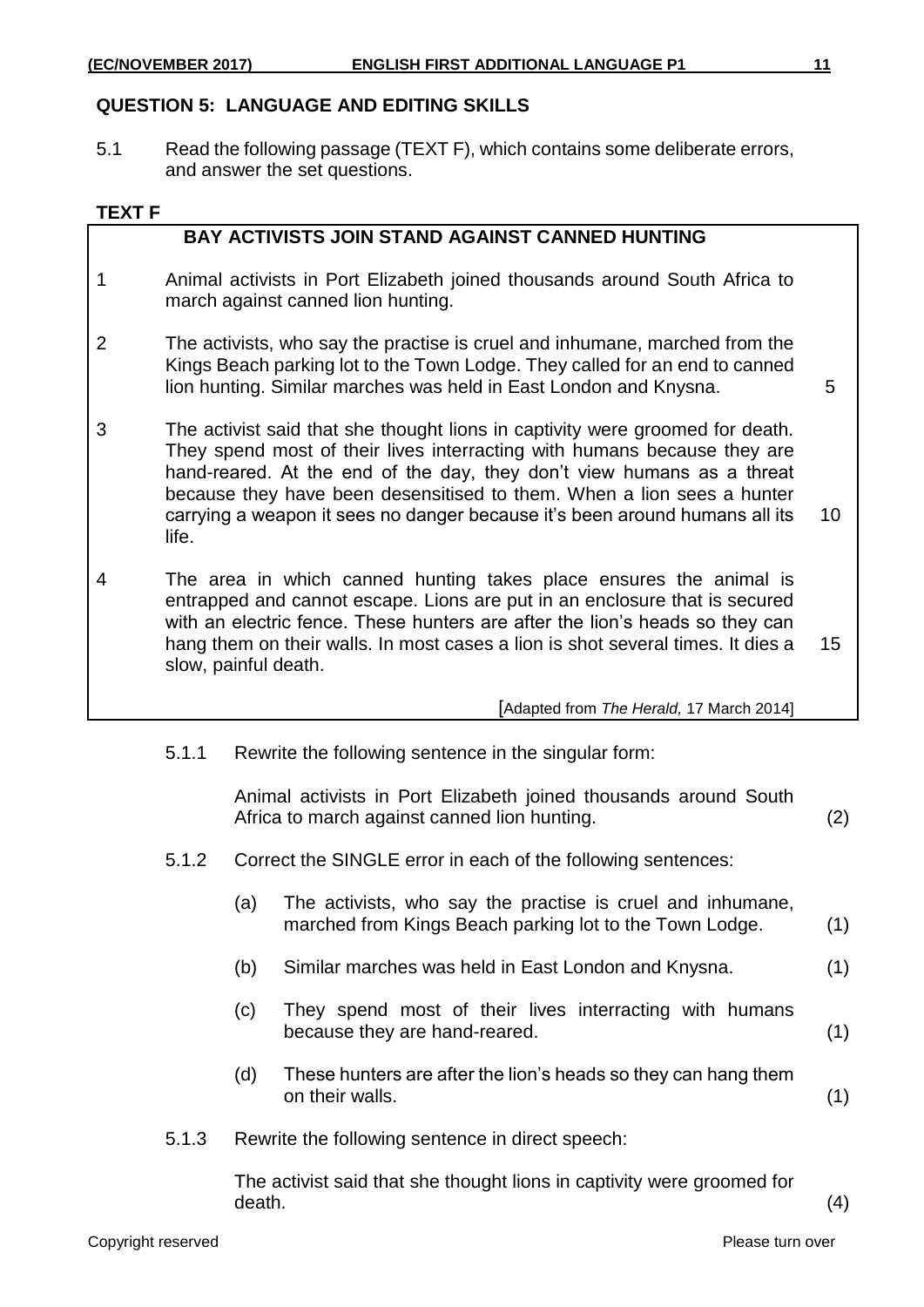# **QUESTION 5: LANGUAGE AND EDITING SKILLS**

5.1 Read the following passage (TEXT F), which contains some deliberate errors, and answer the set questions.

### **TEXT F**

# **BAY ACTIVISTS JOIN STAND AGAINST CANNED HUNTING**

- 1 Animal activists in Port Elizabeth joined thousands around South Africa to march against canned lion hunting.
- 2 The activists, who say the practise is cruel and inhumane, marched from the Kings Beach parking lot to the Town Lodge. They called for an end to canned lion hunting. Similar marches was held in East London and Knysna. 5

- 3 The activist said that she thought lions in captivity were groomed for death. They spend most of their lives interracting with humans because they are hand-reared. At the end of the day, they don't view humans as a threat because they have been desensitised to them. When a lion sees a hunter carrying a weapon it sees no danger because it's been around humans all its life. 10
- 4 The area in which canned hunting takes place ensures the animal is entrapped and cannot escape. Lions are put in an enclosure that is secured with an electric fence. These hunters are after the lion's heads so they can hang them on their walls. In most cases a lion is shot several times. It dies a slow, painful death. 15

[Adapted from *The Herald,* 17 March 2014]

5.1.1 Rewrite the following sentence in the singular form:

Animal activists in Port Elizabeth joined thousands around South Africa to march against canned lion hunting. (2)

- 5.1.2 Correct the SINGLE error in each of the following sentences:
	- (a) The activists, who say the practise is cruel and inhumane, marched from Kings Beach parking lot to the Town Lodge. (1)
	- (b) Similar marches was held in East London and Knysna. (1)
	- (c) They spend most of their lives interracting with humans because they are hand-reared. (1)
	- (d) These hunters are after the lion's heads so they can hang them on their walls. (1)
- 5.1.3 Rewrite the following sentence in direct speech:

The activist said that she thought lions in captivity were groomed for  $death.$  (4)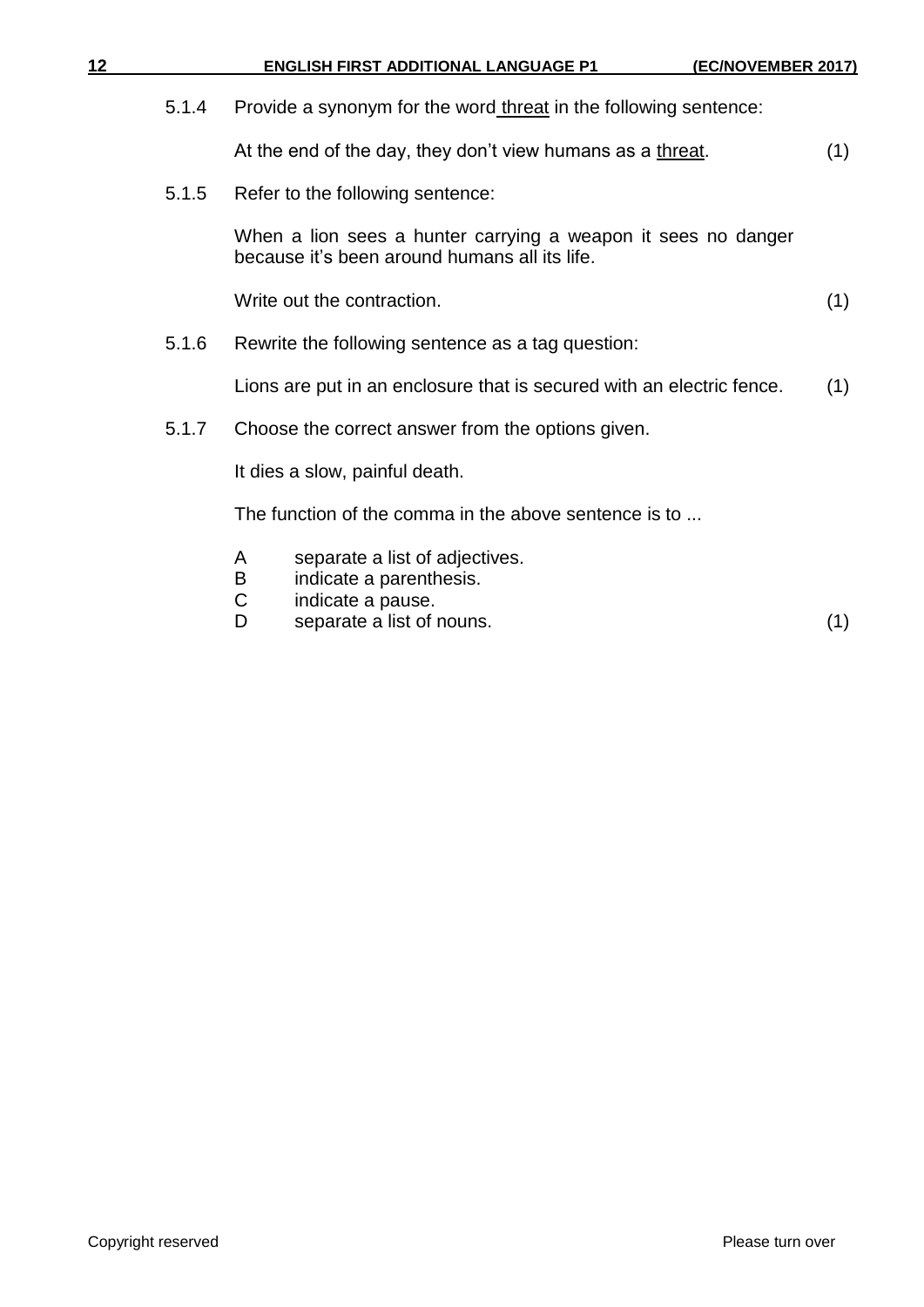| 12 |       | <b>ENGLISH FIRST ADDITIONAL LANGUAGE P1</b><br><u>(EC/NOVEMBER 2017)</u>                                                        |     |
|----|-------|---------------------------------------------------------------------------------------------------------------------------------|-----|
|    | 5.1.4 | Provide a synonym for the word threat in the following sentence:                                                                |     |
|    |       | At the end of the day, they don't view humans as a threat.                                                                      | (1) |
|    | 5.1.5 | Refer to the following sentence:                                                                                                |     |
|    |       | When a lion sees a hunter carrying a weapon it sees no danger<br>because it's been around humans all its life.                  |     |
|    |       | Write out the contraction.                                                                                                      | (1) |
|    | 5.1.6 | Rewrite the following sentence as a tag question:                                                                               |     |
|    |       | Lions are put in an enclosure that is secured with an electric fence.                                                           | (1) |
|    | 5.1.7 | Choose the correct answer from the options given.                                                                               |     |
|    |       | It dies a slow, painful death.                                                                                                  |     |
|    |       | The function of the comma in the above sentence is to                                                                           |     |
|    |       | separate a list of adjectives.<br>A<br>Β<br>indicate a parenthesis.<br>С<br>indicate a pause.<br>separate a list of nouns.<br>D | (1) |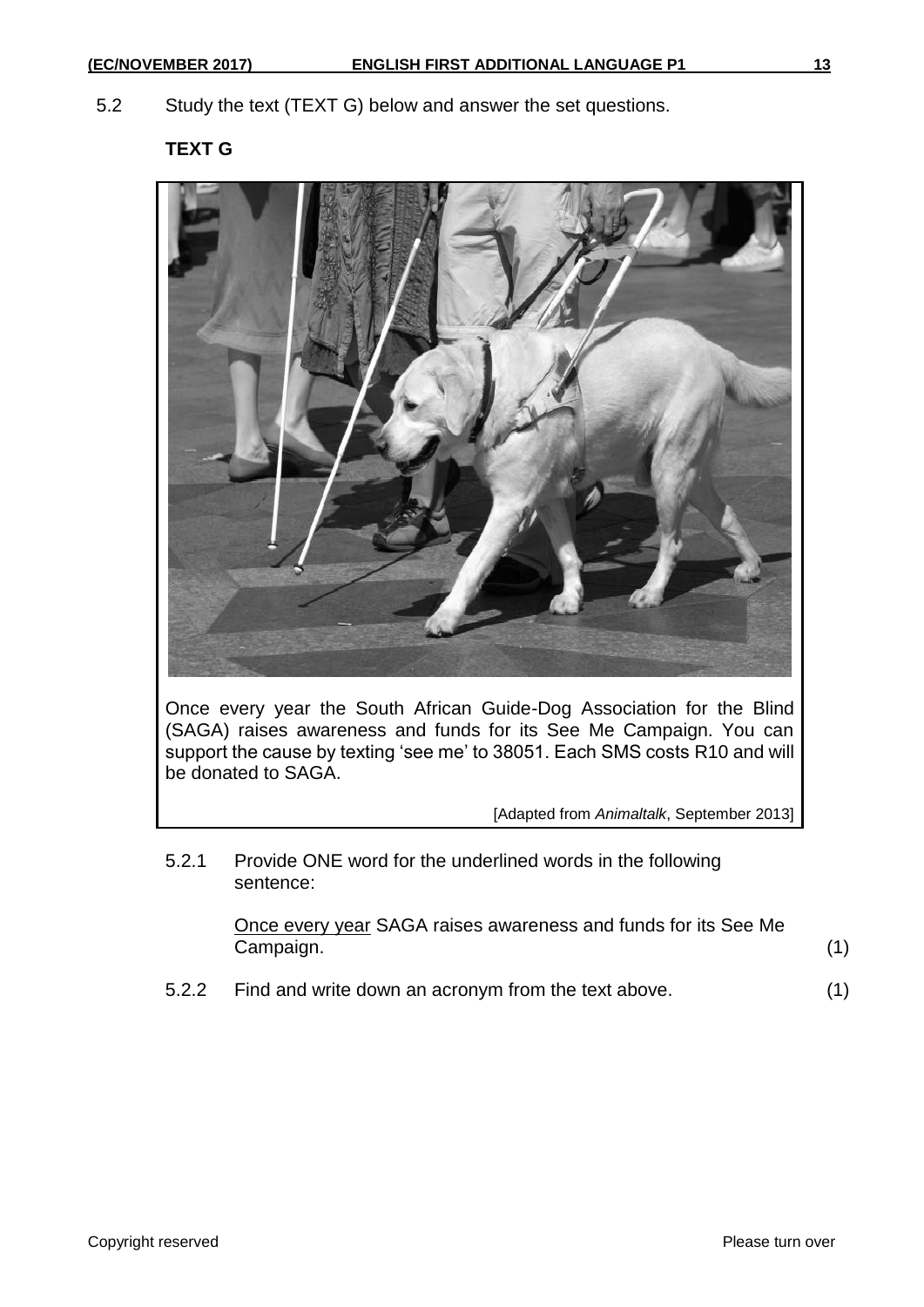5.2 Study the text (TEXT G) below and answer the set questions.

**TEXT G**



Once every year the South African Guide-Dog Association for the Blind (SAGA) raises awareness and funds for its See Me Campaign. You can support the cause by texting 'see me' to 38051. Each SMS costs R10 and will be donated to SAGA.

[Adapted from *Animaltalk*, September 2013]

5.2.1 Provide ONE word for the underlined words in the following sentence:

> Once every year SAGA raises awareness and funds for its See Me Campaign. (1)

5.2.2 Find and write down an acronym from the text above. (1)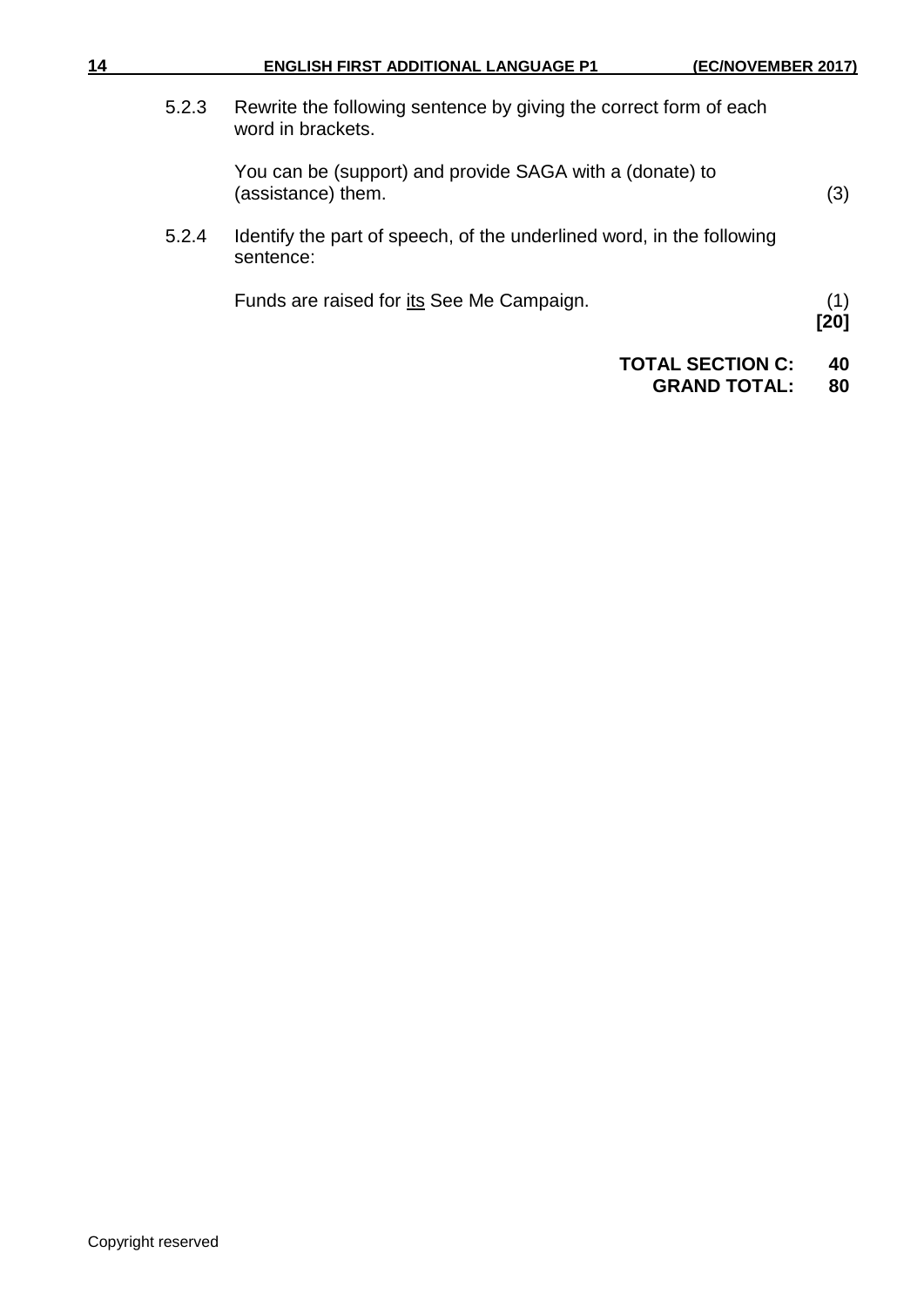5.2.3 Rewrite the following sentence by giving the correct form of each word in brackets.

> You can be (support) and provide SAGA with a (donate) to (assistance) them. (3)

5.2.4 Identify the part of speech, of the underlined word, in the following sentence:

Funds are raised for its See Me Campaign. (1)

**[20]**

#### **TOTAL SECTION C: 40 GRAND TOTAL:**